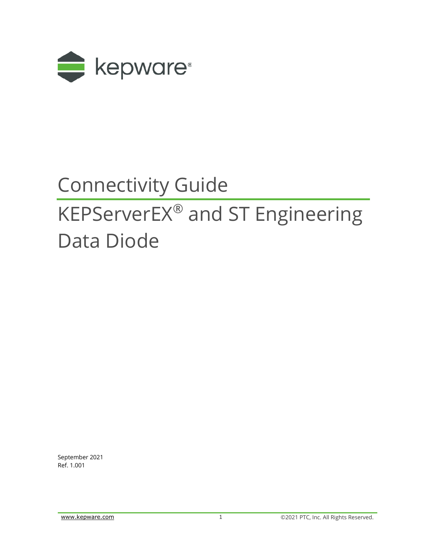

# Connectivity Guide

# KEPServerEX® and ST Engineering Data Diode

September 2021 Ref. 1.001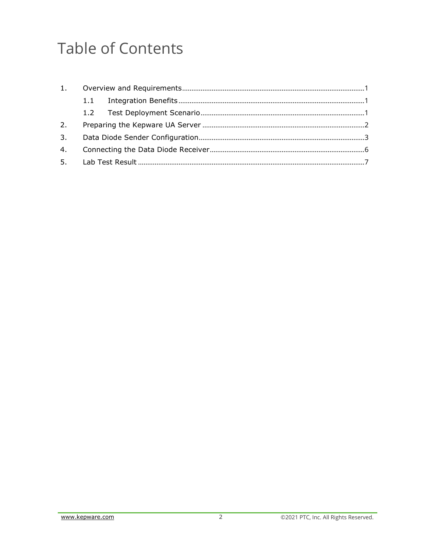## **Table of Contents**

| 1. |     |  |
|----|-----|--|
|    | 1.1 |  |
|    |     |  |
| 2. |     |  |
| 3. |     |  |
| 4. |     |  |
|    |     |  |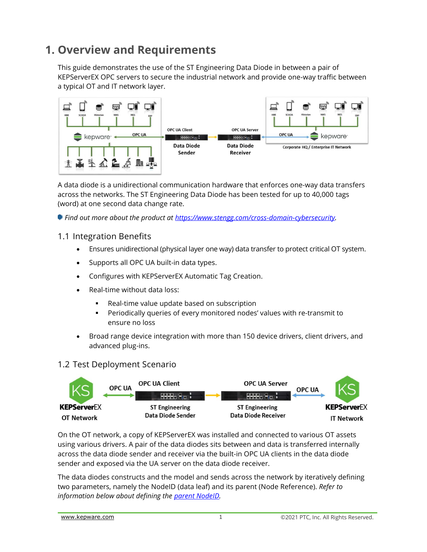### <span id="page-2-0"></span>**1. Overview and Requirements**

This guide demonstrates the use of the ST Engineering Data Diode in between a pair of KEPServerEX OPC servers to secure the industrial network and provide one-way traffic between a typical OT and IT network layer.



A data diode is a unidirectional communication hardware that enforces one-way data transfers across the networks. The ST Engineering Data Diode has been tested for up to 40,000 tags (word) at one second data change rate.

*Find out more about the product at [https://www.stengg.com/cross-domain-cybersecurity.](https://www.stengg.com/cross-domain-cybersecurity)*

#### <span id="page-2-1"></span>1.1 Integration Benefits

- Ensures unidirectional (physical layer one way) data transfer to protect critical OT system.
- Supports all OPC UA built-in data types.
- Configures with KEPServerEX Automatic Tag Creation.
- Real-time without data loss:
	- Real-time value update based on subscription
	- Periodically queries of every monitored nodes' values with re-transmit to ensure no loss
- Broad range device integration with more than 150 device drivers, client drivers, and advanced plug-ins.

#### <span id="page-2-2"></span>1.2 Test Deployment Scenario



On the OT network, a copy of KEPServerEX was installed and connected to various OT assets using various drivers. A pair of the data diodes sits between and data is transferred internally across the data diode sender and receiver via the built-in OPC UA clients in the data diode sender and exposed via the UA server on the data diode receiver.

The data diodes constructs and the model and sends across the network by iteratively defining two parameters, namely the NodeID (data leaf) and its parent (Node Reference). *Refer to information below about defining the [parent NodeID.](#page-5-0)*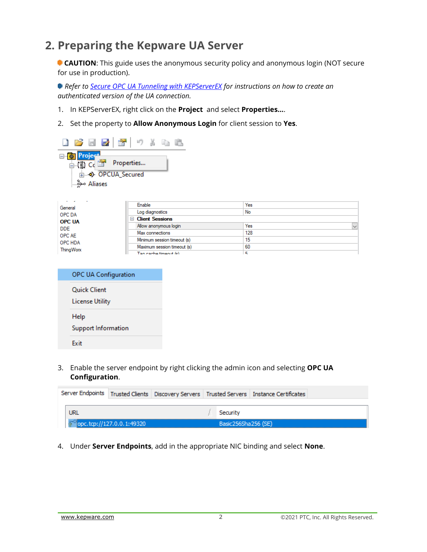### <span id="page-3-0"></span>**2. Preparing the Kepware UA Server**

**CAUTION:** This guide uses the anonymous security policy and anonymous login (NOT secure for use in production).

*Refer to [Secure OPC UA Tunneling with KEPServerEX](https://www.kepware.com/getattachment/d31f9741-6a16-41ca-ab9c-e5c738386b73/secure-opc-ua-tunneling.pdf) for instructions on how to create an authenticated version of the UA connection.*

- 1. In KEPServerEX, right click on the **Project** and select **Properties…**.
- 2. Set the property to **Allow Anonymous Login** for client session to **Yes**.



| .             |                             |     |              |
|---------------|-----------------------------|-----|--------------|
| General       | Enable                      | Yes |              |
| OPC DA        | Log diagnostics             | No  |              |
| <b>OPC UA</b> | □ Client Sessions           |     |              |
| DDE.          | Allow anonymous login       | Yes | $\checkmark$ |
| OPC AE        | Max connections             | 128 |              |
| OPC HDA       | Minimum session timeout (s) | 15  |              |
| ThingWorx     | Maximum session timeout (s) | -60 |              |
|               | Tag cache timeout $(e)$     | к   |              |
|               |                             |     |              |

| OPC UA Configuration                   |
|----------------------------------------|
| Quick Client<br><b>License Utility</b> |
| Help<br>Support Information            |
| Fxit                                   |

3. Enable the server endpoint by right clicking the admin icon and selecting **OPC UA Configuration**.

|                           |  |                     | Server Endpoints   Trusted Clients   Discovery Servers   Trusted Servers   Instance Certificates |  |
|---------------------------|--|---------------------|--------------------------------------------------------------------------------------------------|--|
|                           |  |                     |                                                                                                  |  |
| URL                       |  | Security            |                                                                                                  |  |
| opc.tcp://127.0.0.1:49320 |  | Basic256Sha256 (SE) |                                                                                                  |  |

4. Under **Server Endpoints**, add in the appropriate NIC binding and select **None**.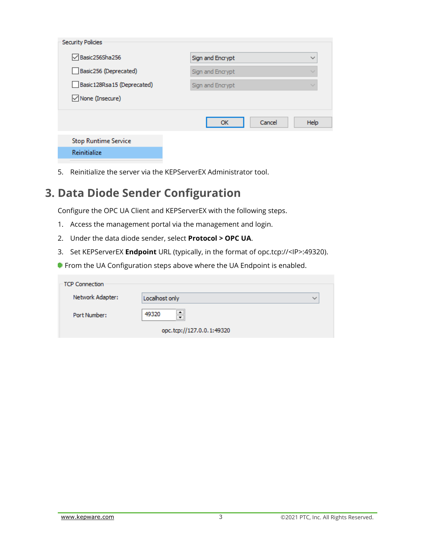| <b>Security Policies</b>     |                  |              |  |  |
|------------------------------|------------------|--------------|--|--|
| Basic256Sha256               | Sign and Encrypt | $\checkmark$ |  |  |
| Basic256 (Deprecated)        | Sign and Encrypt |              |  |  |
| Basic 128Rsa 15 (Deprecated) | Sign and Encrypt |              |  |  |
| $\sqrt{ }$ None (Insecure)   |                  |              |  |  |
|                              | Cancel<br>ОК     | Help         |  |  |
| <b>Stop Runtime Service</b>  |                  |              |  |  |
| Reinitialize                 |                  |              |  |  |

<span id="page-4-0"></span>5. Reinitialize the server via the KEPServerEX Administrator tool.

### **3. Data Diode Sender Configuration**

Configure the OPC UA Client and KEPServerEX with the following steps.

- 1. Access the management portal via the management and login.
- 2. Under the data diode sender, select **Protocol > OPC UA**.
- 3. Set KEPServerEX **Endpoint** URL (typically, in the format of opc.tcp://<IP>:49320).
- **From the UA Configuration steps above where the UA Endpoint is enabled.**

| <b>TCP Connection</b> |                                    |        |
|-----------------------|------------------------------------|--------|
| Network Adapter:      | Localhost only                     | $\sim$ |
| Port Number:          | ۰<br>49320<br>$\ddot{\phantom{0}}$ |        |
|                       | opc.tcp://127.0.0.1:49320          |        |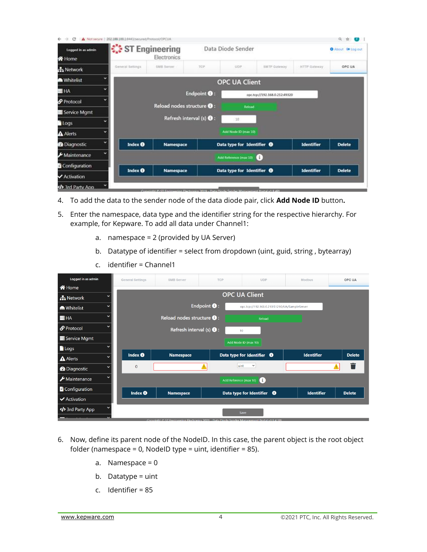|                                                                                                                                                                                         |   | Not secure 202.188.100.1:8443/secured/Protocol/OPCUA |                                   |                                                |                                       |                               |                     |                   |
|-----------------------------------------------------------------------------------------------------------------------------------------------------------------------------------------|---|------------------------------------------------------|-----------------------------------|------------------------------------------------|---------------------------------------|-------------------------------|---------------------|-------------------|
| Logged in as admin<br><b>谷</b> Home                                                                                                                                                     |   | ST Engineering                                       | Electronics                       |                                                | Data Diode Sender                     |                               |                     | O About 0 Log out |
| h Network                                                                                                                                                                               |   | General Settings                                     | <b>EMB Server</b>                 | TOP                                            | UDP                                   | <b>ILMTP Gateway</b>          | <b>HTTP Gateway</b> | OPC UA            |
| <b>M</b> Whitelist                                                                                                                                                                      |   |                                                      |                                   |                                                | <b>OPC UA Client</b>                  |                               |                     |                   |
| <b>E HA</b>                                                                                                                                                                             |   |                                                      |                                   | Endpoint <sup>0</sup> :                        |                                       | opc.tcp://192.168.0.212:49320 |                     |                   |
| Protocol                                                                                                                                                                                |   |                                                      | Reload nodes structure <b>O</b> : |                                                |                                       |                               |                     |                   |
| Service Mgmt                                                                                                                                                                            |   |                                                      |                                   |                                                | Reload                                |                               |                     |                   |
| <b>Logs</b>                                                                                                                                                                             |   |                                                      |                                   | Refresh interval (s) $\mathbf{\Theta}$ :       | 10                                    |                               |                     |                   |
| A Alerts                                                                                                                                                                                | v |                                                      |                                   |                                                | Add Node ID (max 10)                  |                               |                     |                   |
| <b>@</b> Diagnostic                                                                                                                                                                     |   | Index <b>O</b>                                       | Namespace                         |                                                | Data type for Identifier <sup>O</sup> |                               | <b>Identifier</b>   | <b>Delete</b>     |
| $\blacktriangleright$ Maintenance                                                                                                                                                       |   |                                                      |                                   |                                                | Add Reference (max 10)                | IG 1                          |                     |                   |
| Configuration                                                                                                                                                                           |   |                                                      |                                   |                                                |                                       |                               |                     |                   |
| Activation                                                                                                                                                                              |   | Index <b>O</b>                                       | Namespace                         |                                                | Data type for Identifier <sup>O</sup> |                               | <b>Identifier</b>   | <b>Delete</b>     |
| <br><td></td> <td></td> <td><b>Concision &amp; CT Engine</b></td> <td>ainn Flactonnics 3019 - Data Floche Sandar Man</td> <td></td> <td><b>Double US Staff</b></td> <td></td> <td></td> |   |                                                      | <b>Concision &amp; CT Engine</b>  | ainn Flactonnics 3019 - Data Floche Sandar Man |                                       | <b>Double US Staff</b>        |                     |                   |

- 4. To add the data to the sender node of the data diode pair, click **Add Node ID** button**.**
- 5. Enter the namespace, data type and the identifier string for the respective hierarchy. For example, for Kepware. To add all data under Channel1:
	- a. namespace = 2 (provided by UA Server)
	- b. Datatype of identifier = select from dropdown (uint, guid, string , bytearray)
	- c. identifier = Channel1

| Logged in as admin                  | <b>General Settings</b> | <b>SMB Server</b>                                                                             | <b>TCP</b>             | <b>UDP</b>                                    | <b>Modbus</b>     | OPC UA        |
|-------------------------------------|-------------------------|-----------------------------------------------------------------------------------------------|------------------------|-----------------------------------------------|-------------------|---------------|
| <b>谷</b> Home                       |                         |                                                                                               |                        |                                               |                   |               |
| 品 Network                           |                         |                                                                                               |                        | <b>OPC UA Client</b>                          |                   |               |
| ີ<br><b>M</b> Whitelist             |                         |                                                                                               | Endpoint $\bullet$ :   | opc.tcp://192.168.0.210:51210/UA/SampleServer |                   |               |
| $\check{ }$<br>$H = H$              |                         | Reload nodes structure $\bigoplus$ :                                                          |                        | Reload                                        |                   |               |
| Protocol                            |                         | Refresh interval (s) $\bigcirc$ :                                                             |                        | 10                                            |                   |               |
| Service Mgmt                        |                         |                                                                                               |                        | Add Node ID (max 10)                          |                   |               |
| $\blacksquare$ Logs                 |                         |                                                                                               |                        |                                               |                   |               |
| <b>A</b> Alerts                     | Index <b>O</b>          | <b>Namespace</b>                                                                              |                        | Data type for Identifier<br>$\bullet$         | <b>Identifier</b> | <b>Delete</b> |
| $\checkmark$<br><b>@</b> Diagnostic | $\mathbf{0}$            |                                                                                               | uint                   | $\check{ }$                                   |                   |               |
| $\frac{1}{2}$ Maintenance           |                         |                                                                                               | Add Reference (max 10) | $\bf{G}$                                      |                   |               |
| Configuration                       | Index <b>O</b>          | <b>Namespace</b>                                                                              |                        | Data type for Identifier $\bigoplus$          | <b>Identifier</b> | <b>Delete</b> |
| $\blacktriangleright$ Activation    |                         |                                                                                               |                        |                                               |                   |               |
| 3rd Party App>                      |                         |                                                                                               |                        | Save                                          |                   |               |
|                                     |                         | Convright @ ST Engineering Electronics 2021 - Data Diode Sender Management Portal v1 9 4 3 PL |                        |                                               |                   |               |

- <span id="page-5-0"></span>6. Now, define its parent node of the NodeID. In this case, the parent object is the root object folder (namespace = 0, NodeID type = uint, identifier = 85).
	- a. Namespace = 0
	- b. Datatype = uint
	- c. Identifier = 85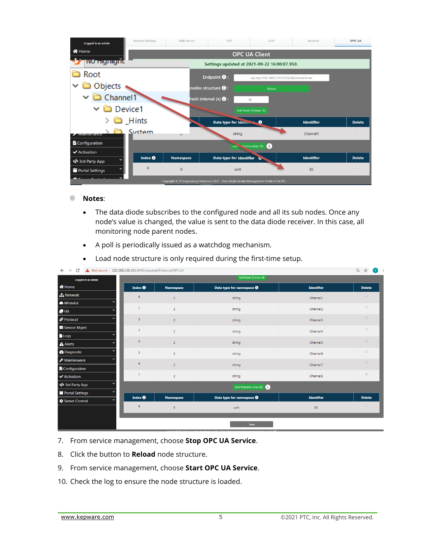

#### ۰ **Notes**:

- The data diode subscribes to the configured node and all its sub nodes. Once any node's value is changed, the value is sent to the data diode receiver. In this case, all monitoring node parent nodes.
- A poll is periodically issued as a watchdog mechanism.
- Load node structure is only required during the first-time setup.

| Logged in as admin             |                         |                  | Add Node ID (max 10)                   |                      | $-1$ $-1$<br>$\sim$ |
|--------------------------------|-------------------------|------------------|----------------------------------------|----------------------|---------------------|
| <b>谷</b> Home                  | Index <sup>O</sup>      | <b>Namespace</b> | Data type for namespace <sup>(1)</sup> | <b>Identifier</b>    | <b>Delete</b>       |
| <b>A</b> Network               | $\bullet$               | $\overline{2}$   | string                                 | Channel1             | $\hfill\square$     |
| <b>M</b> Whitelist             |                         |                  |                                        |                      | $\Box$              |
| $H = H$                        | $\mathbf 1$             | $\overline{2}$   | string                                 | Channel <sub>2</sub> |                     |
| Protocol                       | $\overline{2}$          | $\overline{2}$   | string                                 | Channel3             | $\Box$              |
| Service Mgmt                   | $\overline{\mathbf{3}}$ | $\overline{2}$   | string                                 | Channel4             | $\hfill \square$    |
| <b>Logs</b>                    |                         |                  |                                        |                      |                     |
| $\triangle$ Alerts             | $\overline{4}$          | $\overline{2}$   | string                                 | Channel <sub>5</sub> | $\hfill\square$     |
| <b>@</b> Diagnostic            | 5                       | $\overline{2}$   | string                                 | Channel6             | $\hfill\square$     |
| $\bigtriangledown$ Maintenance | $6\phantom{.}6$         | $\overline{2}$   | string                                 | Channel7             | $\Box$              |
| Configuration                  |                         |                  |                                        |                      |                     |
| ✔ Activation                   | $\overline{7}$          | $\overline{2}$   | string                                 | Channel8             | $\hfill\square$     |
| Ird Party Appp                 |                         |                  | Add Reference (max 10)                 |                      |                     |
| Portal Settings                |                         |                  |                                        |                      |                     |
| Server Control                 | Index <b>O</b>          | <b>Namespace</b> | Data type for namespace <b>@</b>       | <b>Identifier</b>    | <b>Delete</b>       |
|                                | $\circ$                 | $\circ$          | uint                                   | 85                   | $\hfill\square$     |
|                                |                         |                  |                                        |                      |                     |
|                                |                         |                  | Save                                   |                      |                     |

C A Not secure | 202.188.100.101:8443/secured/Protocol/OPCUA

- 7. From service management, choose **Stop OPC UA Service**.
- 8. Click the button to **Reload** node structure.
- 9. From service management, choose **Start OPC UA Service**.
- 10. Check the log to ensure the node structure is loaded.

 $\odot$   $\leftrightarrow$   $\sqrt{v}$  :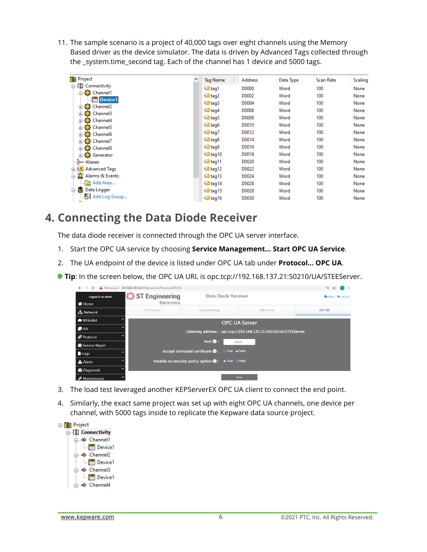11. The sample scenario is a project of 40,000 tags over eight channels using the Memory Based driver as the device simulator. The data is driven by Advanced Tags collected through the \_system.time\_second tag. Each of the channel has 1 device and 5000 tags.

| Project<br>事                             | ∧<br><b>Tag Name</b> | <b>Address</b> | Data Type | <b>Scan Rate</b> | Scaling |
|------------------------------------------|----------------------|----------------|-----------|------------------|---------|
| □【■】 Connectivity                        | <b></b> ataq1        | D0000          | Word      | 100              | None    |
| ⊟ सी≵ Channel1                           | taq2                 | D0002          | Word      | 100              | None    |
| <b>In Device1</b>                        | tag3                 | D0004          | Word      | 100              | None    |
| 山 <b>名 Channel2</b>                      |                      |                |           |                  |         |
| <b>A</b> Channel3                        | taq4                 | D0006          | Word      | 100              | None    |
| 山 <b>光 Channel4</b>                      | tag5                 | D0008          | Word      | 100              | None    |
| <b>A</b> Channel5                        | ⊠ tag6               | D0010          | Word      | 100              | None    |
| <b>A Channel6</b>                        | tag7                 | D0012          | Word      | 100              | None    |
| 山 <b>光 Channel7</b>                      | ⊠ tag8               | D0014          | Word      | 100              | None    |
| 由 & Channel8                             | tag9                 | D0016          | Word      | 100              | None    |
| 山 <b>くら</b> Generator                    | tag10                | D0018          | Word      | 100              | None    |
| Aliases موْ…                             | taq11⊠               | D0020          | Word      | 100              | None    |
| <b>Fille A<sup>t</sup></b> Advanced Tags | tag12                | D0022          | Word      | 100              | None    |
| □ 公 Alarms & Events                      | tag13                | D0024          | Word      | 100              | None    |
| Add Area                                 | taq14                | D0026          | Word      | 100              | None    |
| 열<br>Data Logger<br>Ė-                   | tag15                | D0028          | Word      | 100              | None    |
| Add Log Group                            | tag16                | D0030          | Word      | 100              | None    |

### <span id="page-7-0"></span>**4. Connecting the Data Diode Receiver**

The data diode receiver is connected through the OPC UA server interface.

- 1. Start the OPC UA service by choosing **Service Management… Start OPC UA Service**.
- 2. The UA endpoint of the device is listed under OPC UA tab under **Protocol… OPC UA**.

**Tip**: In the screen below, the OPC UA URL is opc.tcp://192.168.137.21:50210/UA/STEEServer.

| $\leftarrow$ $\rightarrow$<br>C     | A Not secure   202.188.100.102:8443/secured/Protocol/OPCUA |                                                                 |                      |                   | Q<br>☆<br>$\mathbf{y}$      |
|-------------------------------------|------------------------------------------------------------|-----------------------------------------------------------------|----------------------|-------------------|-----------------------------|
| Logged in as admin<br><b>N</b> Home | ें ST Engineering<br>Electronics                           | Data Diode Receiver                                             |                      |                   | About <sup>69</sup> Log out |
| <b>R</b> Network                    | <b>Edit Protocol</b>                                       | <b>General Settings</b>                                         |                      | <b>SMB Server</b> | <b>OPC UA</b>               |
| <b>M</b> Whitelist                  |                                                            |                                                                 | <b>OPC UA Server</b> |                   |                             |
| H                                   |                                                            | Listening address: opc.tcp://192.168.137.21:50210/UA/STEEServer |                      |                   |                             |
| Protocol                            |                                                            |                                                                 |                      |                   |                             |
| Service Mgmt                        |                                                            | Port $\bullet$ :                                                | 50210                |                   |                             |
| $\blacksquare$ Logs                 |                                                            | Accept untrusted certificate $\bigcirc$ :                       | o True • False       |                   |                             |
| <b>A</b> Alerts                     |                                                            | Disable no security policy option $\bullet$ :                   | • True • False       |                   |                             |
| <b><i>a</i></b> Diagnostic          |                                                            |                                                                 |                      |                   |                             |
| Maintenance                         |                                                            |                                                                 | Save                 |                   |                             |

- 3. The load test leveraged another KEPServerEX OPC UA client to connect the end point.
- 4. Similarly, the exact same project was set up with eight OPC UA channels, one device per channel, with 5000 tags inside to replicate the Kepware data source project.